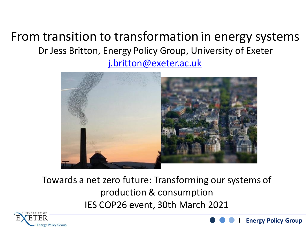#### From transition to transformation in energy systems Dr Jess Britton, Energy Policy Group, University of Exeter [j.britton@exeter.ac.uk](mailto:j.britton@exeter.ac.uk)



#### Towards a net zero future: Transforming our systems of production & consumption IES COP26 event, 30th March 2021



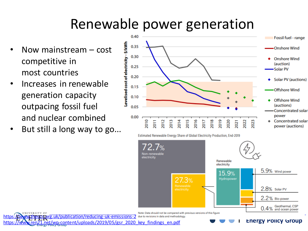## Renewable power generation

- Now mainstream cost competitive in most countries
- Increases in renewable generation capacity outpacing fossil fuel and nuclear combined
- But still a long way to go...



Estimated Renewable Energy Share of Global Electricity Production, End-2019

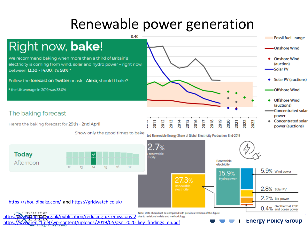### Renewable power generation

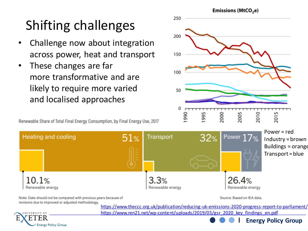# Shifting challenges

- Challenge now about integration across power, heat and transport
- These changes are far more transformative and are likely to require more varied and localised approaches

**Energy Policy Group** 

Renewable Share of Total Final Energy Consumption, by Final Energy Use, 2017



Power = red Industry = brown

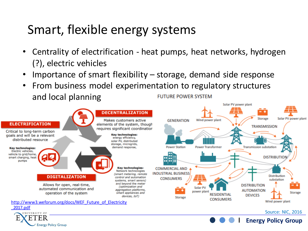#### Smart, flexible energy systems

- Centrality of electrification heat pumps, heat networks, hydrogen (?), electric vehicles
- Importance of smart flexibility  $-$  storage, demand side response
- From business model experimentation to regulatory structures and local planning **FUTURE POWER SYSTEM**